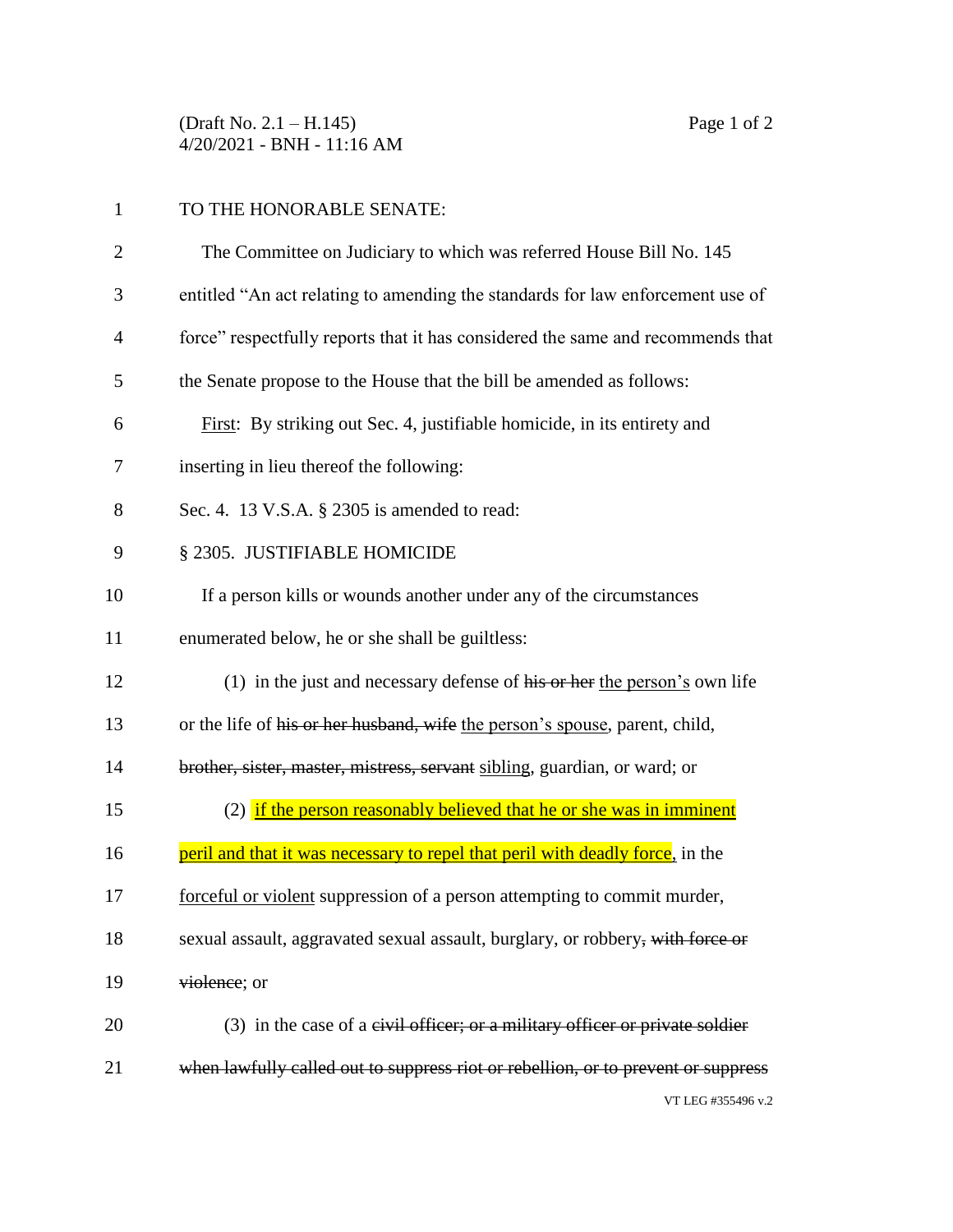(Draft No. 2.1 – H.145) Page 1 of 2 4/20/2021 - BNH - 11:16 AM

| $\mathbf{1}$ | TO THE HONORABLE SENATE:                                                               |
|--------------|----------------------------------------------------------------------------------------|
| 2            | The Committee on Judiciary to which was referred House Bill No. 145                    |
| 3            | entitled "An act relating to amending the standards for law enforcement use of         |
| 4            | force" respectfully reports that it has considered the same and recommends that        |
| 5            | the Senate propose to the House that the bill be amended as follows:                   |
| 6            | First: By striking out Sec. 4, justifiable homicide, in its entirety and               |
| 7            | inserting in lieu thereof the following:                                               |
| 8            | Sec. 4. 13 V.S.A. § 2305 is amended to read:                                           |
| 9            | § 2305. JUSTIFIABLE HOMICIDE                                                           |
| 10           | If a person kills or wounds another under any of the circumstances                     |
| 11           | enumerated below, he or she shall be guiltless:                                        |
| 12           | (1) in the just and necessary defense of $\overline{his}$ or her the person's own life |
| 13           | or the life of his or her husband, wife the person's spouse, parent, child,            |
| 14           | brother, sister, master, mistress, servant sibling, guardian, or ward; or              |
| 15           | (2) if the person reasonably believed that he or she was in imminent                   |
| 16           | peril and that it was necessary to repel that peril with deadly force, in the          |
| 17           | forceful or violent suppression of a person attempting to commit murder,               |
| 18           | sexual assault, aggravated sexual assault, burglary, or robbery, with force or         |
| 19           | violence; or                                                                           |
| 20           | $(3)$ in the case of a eivil officer; or a military officer or private soldier         |
| 21           | when lawfully called out to suppress riot or rebellion, or to prevent or suppress      |

## VT LEG #355496 v.2